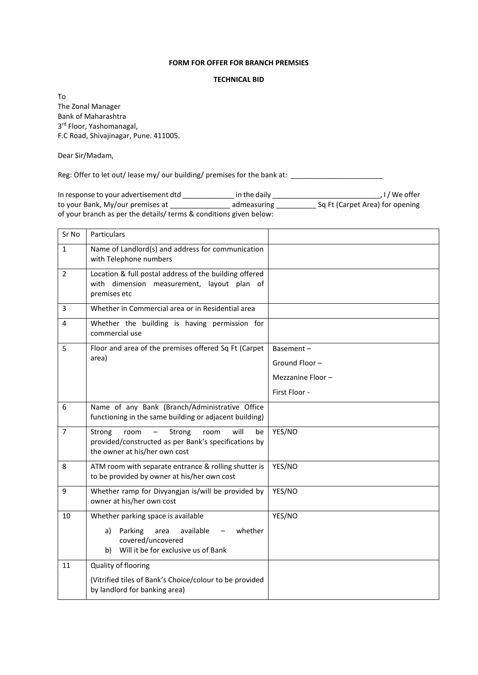## **FORM FOR OFFER FOR BRANCH PREMSIES**

## **TECHNICAL BID**

To The Zonal Manager Bank of Maharashtra 3 rd Floor, Yashomanagal, F.C Road, Shivajinagar, Pune. 411005.

Dear Sir/Madam,

Reg: Offer to let out/ lease my/ our building/ premises for the bank at: \_\_\_\_\_\_\_\_\_\_\_\_\_\_

In response to your advertisement dtd \_\_\_\_\_\_\_\_\_\_\_\_\_ in the daily \_\_\_\_\_\_\_\_\_\_\_\_\_\_\_\_\_\_\_\_\_\_\_\_\_\_\_, I / We offer to your Bank, My/our premises at \_\_\_\_\_\_\_\_\_\_\_\_\_\_\_\_\_\_\_\_ admeasuring \_\_\_\_\_\_\_\_\_\_\_\_\_ Sq Ft (Carpet Area) for opening of your branch as per the details/ terms & conditions given below:

| Sr No          | Particulars                                                                                                                             |                  |
|----------------|-----------------------------------------------------------------------------------------------------------------------------------------|------------------|
| $\mathbf{1}$   | Name of Landlord(s) and address for communication<br>with Telephone numbers                                                             |                  |
| $\overline{2}$ | Location & full postal address of the building offered<br>with dimension measurement, layout plan of<br>premises etc                    |                  |
| 3              | Whether in Commercial area or in Residential area                                                                                       |                  |
| 4              | Whether the building is having permission for<br>commercial use                                                                         |                  |
| 5              | Floor and area of the premises offered Sq Ft (Carpet<br>area)                                                                           | Basement-        |
|                |                                                                                                                                         | Ground Floor-    |
|                |                                                                                                                                         | Mezzanine Floor- |
|                |                                                                                                                                         | First Floor -    |
| 6              | Name of any Bank (Branch/Administrative Office<br>functioning in the same building or adjacent building)                                |                  |
| $\overline{7}$ | Strong<br>will<br>be<br>Strong<br>room<br>room<br>provided/constructed as per Bank's specifications by<br>the owner at his/her own cost | YES/NO           |
| 8              | ATM room with separate entrance & rolling shutter is<br>to be provided by owner at his/her own cost                                     | YES/NO           |
| 9              | Whether ramp for Divyangjan is/will be provided by<br>owner at his/her own cost                                                         | YES/NO           |
| 10             | Whether parking space is available                                                                                                      | YES/NO           |
|                | Parking<br>available<br>whether<br>a)<br>area<br>covered/uncovered<br>b) Will it be for exclusive us of Bank                            |                  |
| 11             | Quality of flooring                                                                                                                     |                  |
|                | (Vitrified tiles of Bank's Choice/colour to be provided<br>by landlord for banking area)                                                |                  |